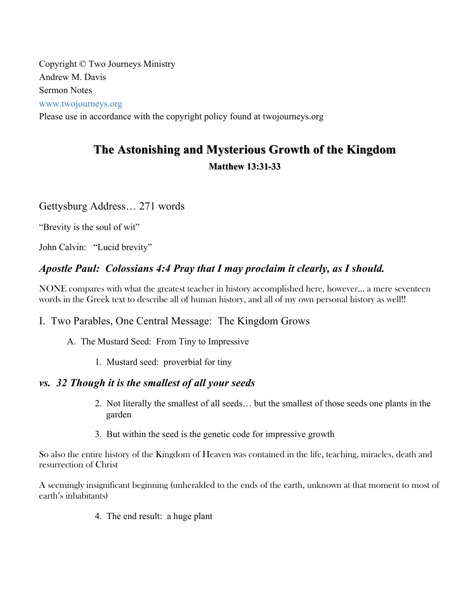Copyright © Two Journeys Ministry Andrew M. Davis Sermon Notes www.twojourneys.org

Please use in accordance with the copyright policy found at twojourneys.org

# **The Astonishing and Mysterious Growth of the Kingdom Matthew 13:31 Matthew 13:31-33**

### Gettysburg Address… 271 words

"Brevity is the soul of wit"

John Calvin: "Lucid brevity"

# *Apostle Paul: Colossians 4:4 Pray that I may proclaim it clearly, as I should.*

NONE compares with what the greatest teacher in history accomplished here, however… a mere seventeen words in the Greek text to describe all of human history, and all of my own personal history as well!!

### I. Two Parables, One Central Message: The Kingdom Grows

- A. The Mustard Seed: From Tiny to Impressive
	- 1. Mustard seed: proverbial for tiny

### *vs. 32 Though it is the smallest of all your seeds*

- 2. Not literally the smallest of all seeds… but the smallest of those seeds one plants in the garden
- 3. But within the seed is the genetic code for impressive growth

So also the entire history of the Kingdom of Heaven was contained in the life, teaching, miracles, death and resurrection of Christ

A seemingly insignificant beginning (unheralded to the ends of the earth, unknown at that moment to most of earth's inhabitants)

4. The end result: a huge plant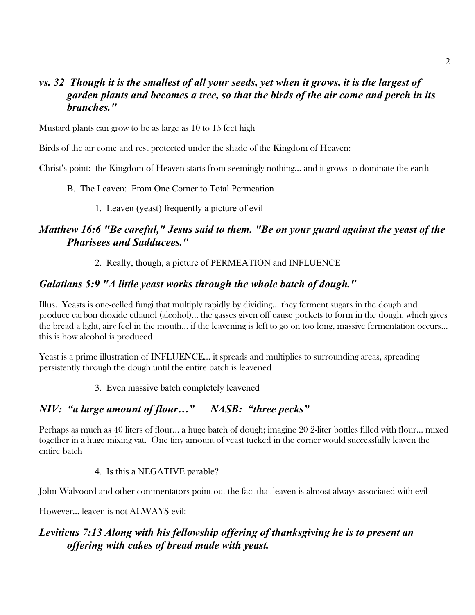### *vs. 32 Though it is the smallest of all your seeds, yet when it grows, it is the largest of garden plants and becomes a tree, so that the birds of the air come and perch in its branches."*

Mustard plants can grow to be as large as 10 to 15 feet high

Birds of the air come and rest protected under the shade of the Kingdom of Heaven:

Christ's point: the Kingdom of Heaven starts from seemingly nothing… and it grows to dominate the earth

- B. The Leaven: From One Corner to Total Permeation
	- 1. Leaven (yeast) frequently a picture of evil

# *Matthew 16:6 "Be careful," Jesus said to them. "Be on your guard against the yeast of the Pharisees and Sadducees."*

2. Really, though, a picture of PERMEATION and INFLUENCE

#### *Galatians 5:9 "A little yeast works through the whole batch of dough."*

Illus. Yeasts is one-celled fungi that multiply rapidly by dividing… they ferment sugars in the dough and produce carbon dioxide ethanol (alcohol)… the gasses given off cause pockets to form in the dough, which gives the bread a light, airy feel in the mouth… if the leavening is left to go on too long, massive fermentation occurs… this is how alcohol is produced

Yeast is a prime illustration of INFLUENCE... it spreads and multiplies to surrounding areas, spreading persistently through the dough until the entire batch is leavened

3. Even massive batch completely leavened

### *NIV: "a large amount of flour…" NASB: "three pecks"*

Perhaps as much as 40 liters of flour… a huge batch of dough; imagine 20 2-liter bottles filled with flour… mixed together in a huge mixing vat. One tiny amount of yeast tucked in the corner would successfully leaven the entire batch

#### 4. Is this a NEGATIVE parable?

John Walvoord and other commentators point out the fact that leaven is almost always associated with evil

However… leaven is not ALWAYS evil:

# *Leviticus 7:13 Along with his fellowship offering of thanksgiving he is to present an offering with cakes of bread made with yeast.*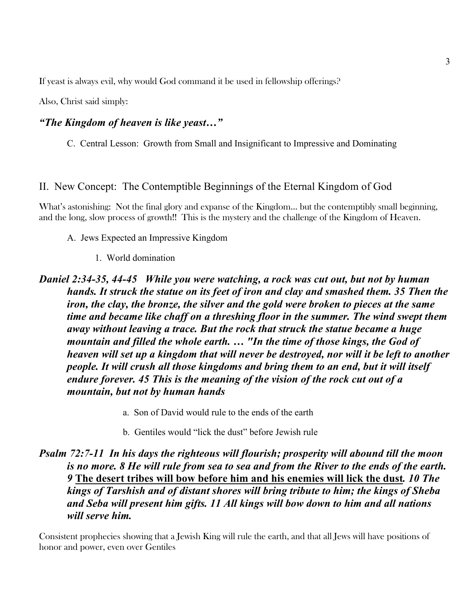If yeast is always evil, why would God command it be used in fellowship offerings?

Also, Christ said simply:

#### *"The Kingdom of heaven is like yeast…"*

C. Central Lesson: Growth from Small and Insignificant to Impressive and Dominating

#### II. New Concept: The Contemptible Beginnings of the Eternal Kingdom of God

What's astonishing: Not the final glory and expanse of the Kingdom... but the contemptibly small beginning, and the long, slow process of growth!! This is the mystery and the challenge of the Kingdom of Heaven.

- A. Jews Expected an Impressive Kingdom
	- 1. World domination

*Daniel 2:34-35, 44-45 While you were watching, a rock was cut out, but not by human hands. It struck the statue on its feet of iron and clay and smashed them. 35 Then the iron, the clay, the bronze, the silver and the gold were broken to pieces at the same time and became like chaff on a threshing floor in the summer. The wind swept them away without leaving a trace. But the rock that struck the statue became a huge mountain and filled the whole earth. … "In the time of those kings, the God of heaven will set up a kingdom that will never be destroyed, nor will it be left to another people. It will crush all those kingdoms and bring them to an end, but it will itself endure forever. 45 This is the meaning of the vision of the rock cut out of a mountain, but not by human hands*

- a. Son of David would rule to the ends of the earth
- b. Gentiles would "lick the dust" before Jewish rule

# *Psalm 72:7-11 In his days the righteous will flourish; prosperity will abound till the moon is no more. 8 He will rule from sea to sea and from the River to the ends of the earth. 9* **The desert tribes will bow before him and his enemies will lick the dust***. 10 The kings of Tarshish and of distant shores will bring tribute to him; the kings of Sheba and Seba will present him gifts. 11 All kings will bow down to him and all nations will serve him.*

Consistent prophecies showing that a Jewish King will rule the earth, and that all Jews will have positions of honor and power, even over Gentiles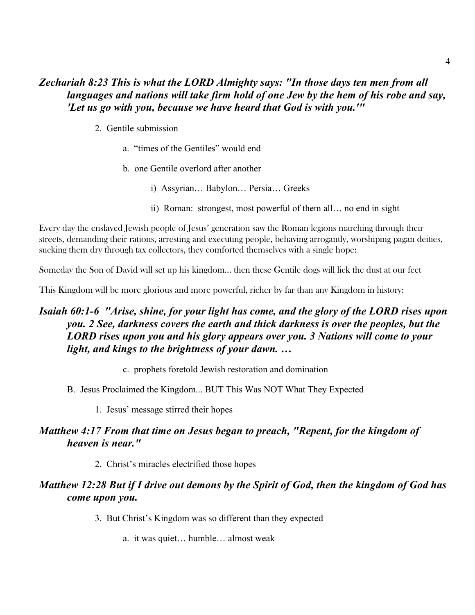### *Zechariah 8:23 This is what the LORD Almighty says: "In those days ten men from all languages and nations will take firm hold of one Jew by the hem of his robe and say, 'Let us go with you, because we have heard that God is with you.'"*

- 2. Gentile submission
	- a. "times of the Gentiles" would end
	- b. one Gentile overlord after another
		- i) Assyrian… Babylon… Persia… Greeks
		- ii) Roman: strongest, most powerful of them all… no end in sight

Every day the enslaved Jewish people of Jesus' generation saw the Roman legions marching through their streets, demanding their rations, arresting and executing people, behaving arrogantly, worshiping pagan deities, sucking them dry through tax collectors, they comforted themselves with a single hope:

Someday the Son of David will set up his kingdom… then these Gentile dogs will lick the dust at our feet

This Kingdom will be more glorious and more powerful, richer by far than any Kingdom in history:

# *Isaiah 60:1-6 "Arise, shine, for your light has come, and the glory of the LORD rises upon you. 2 See, darkness covers the earth and thick darkness is over the peoples, but the LORD rises upon you and his glory appears over you. 3 Nations will come to your light, and kings to the brightness of your dawn. …*

- c. prophets foretold Jewish restoration and domination
- B. Jesus Proclaimed the Kingdom... BUT This Was NOT What They Expected
	- 1. Jesus' message stirred their hopes

#### *Matthew 4:17 From that time on Jesus began to preach, "Repent, for the kingdom of heaven is near."*

2. Christ's miracles electrified those hopes

### *Matthew 12:28 But if I drive out demons by the Spirit of God, then the kingdom of God has come upon you.*

- 3. But Christ's Kingdom was so different than they expected
	- a. it was quiet… humble… almost weak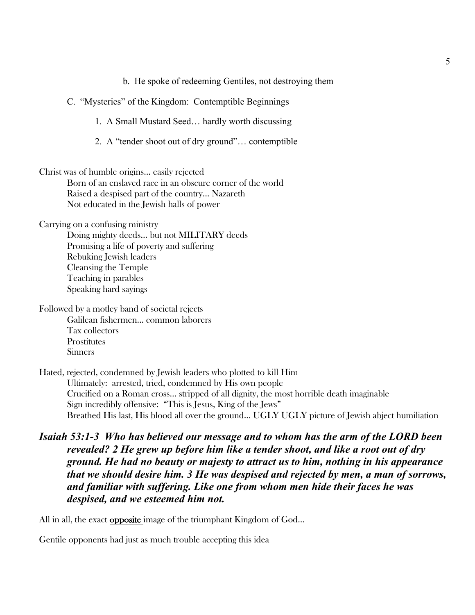b. He spoke of redeeming Gentiles, not destroying them

C. "Mysteries" of the Kingdom: Contemptible Beginnings

1. A Small Mustard Seed… hardly worth discussing

2. A "tender shoot out of dry ground"… contemptible

Christ was of humble origins… easily rejected

Born of an enslaved race in an obscure corner of the world Raised a despised part of the country… Nazareth Not educated in the Jewish halls of power

Carrying on a confusing ministry

Doing mighty deeds… but not MILITARY deeds Promising a life of poverty and suffering Rebuking Jewish leaders Cleansing the Temple Teaching in parables Speaking hard sayings

Followed by a motley band of societal rejects Galilean fishermen… common laborers Tax collectors **Prostitutes** Sinners

Hated, rejected, condemned by Jewish leaders who plotted to kill Him Ultimately: arrested, tried, condemned by His own people Crucified on a Roman cross… stripped of all dignity, the most horrible death imaginable Sign incredibly offensive: "This is Jesus, King of the Jews" Breathed His last, His blood all over the ground… UGLY UGLY picture of Jewish abject humiliation

# *Isaiah 53:1-3 Who has believed our message and to whom has the arm of the LORD been revealed? 2 He grew up before him like a tender shoot, and like a root out of dry ground. He had no beauty or majesty to attract us to him, nothing in his appearance that we should desire him. 3 He was despised and rejected by men, a man of sorrows, and familiar with suffering. Like one from whom men hide their faces he was despised, and we esteemed him not.*

All in all, the exact opposite image of the triumphant Kingdom of God…

Gentile opponents had just as much trouble accepting this idea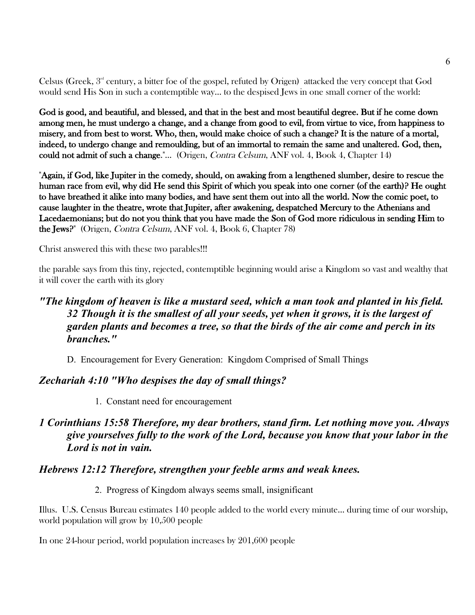Celsus (Greek,  $3<sup>nd</sup>$  century, a bitter foe of the gospel, refuted by Origen) attacked the very concept that God would send His Son in such a contemptible way… to the despised Jews in one small corner of the world:

God is good, and beautiful, and blessed, and that in the best and most beautiful degree. But if he come down among men, he must undergo a change, and a change from good to evil, from virtue to vice, from happiness to misery, and from best to worst. Who, then, would make choice of such a change? It is the nature of a mortal, indeed, to undergo change and remoulding, but of an immortal to remain the same and unaltered. God, then, could not admit of such a change."... (Origen, Contra Celsum, ANF vol. 4, Book 4, Chapter 14)

"Again, if God, like Jupiter in the comedy, should, on awaking from a lengthened slumber, desire to rescue the human race from evil, why did He send this Spirit of which you speak into one corner (of the earth)? He ought to have breathed it alike into many bodies, and have sent them out into all the world. Now the comic poet, to cause laughter in the theatre, wrote that Jupiter, after awakening, despatched Mercury to the Athenians and Lacedaemonians; but do not you think that you have made the Son of God more ridiculous in sending Him to the Jews?" (Origen, Contra Celsum, ANF vol. 4, Book 6, Chapter 78)

Christ answered this with these two parables!!!

the parable says from this tiny, rejected, contemptible beginning would arise a Kingdom so vast and wealthy that it will cover the earth with its glory

# *"The kingdom of heaven is like a mustard seed, which a man took and planted in his field. 32 Though it is the smallest of all your seeds, yet when it grows, it is the largest of garden plants and becomes a tree, so that the birds of the air come and perch in its branches."*

D. Encouragement for Every Generation: Kingdom Comprised of Small Things

### *Zechariah 4:10 "Who despises the day of small things?*

1. Constant need for encouragement

# *1 Corinthians 15:58 Therefore, my dear brothers, stand firm. Let nothing move you. Always give yourselves fully to the work of the Lord, because you know that your labor in the Lord is not in vain.*

### *Hebrews 12:12 Therefore, strengthen your feeble arms and weak knees.*

#### 2. Progress of Kingdom always seems small, insignificant

Illus. U.S. Census Bureau estimates 140 people added to the world every minute… during time of our worship, world population will grow by 10,500 people

In one 24-hour period, world population increases by 201,600 people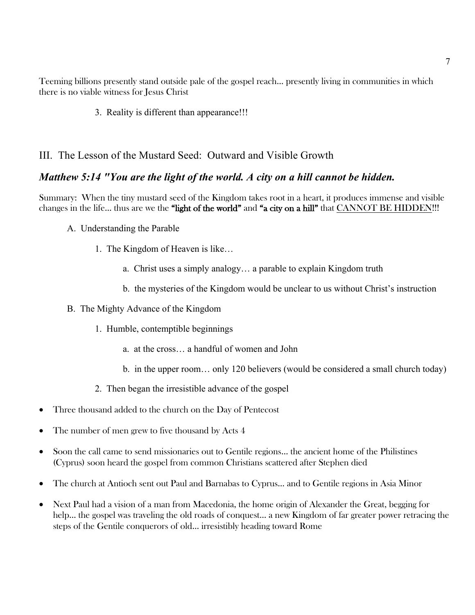Teeming billions presently stand outside pale of the gospel reach… presently living in communities in which there is no viable witness for Jesus Christ

3. Reality is different than appearance!!!

#### III. The Lesson of the Mustard Seed: Outward and Visible Growth

#### *Matthew 5:14 "You are the light of the world. A city on a hill cannot be hidden.*

Summary: When the tiny mustard seed of the Kingdom takes root in a heart, it produces immense and visible changes in the life... thus are we the "light of the world" and "a city on a hill" that CANNOT BE HIDDEN!!!

- A. Understanding the Parable
	- 1. The Kingdom of Heaven is like…
		- a. Christ uses a simply analogy… a parable to explain Kingdom truth
		- b. the mysteries of the Kingdom would be unclear to us without Christ's instruction
- B. The Mighty Advance of the Kingdom
	- 1. Humble, contemptible beginnings
		- a. at the cross… a handful of women and John
		- b. in the upper room… only 120 believers (would be considered a small church today)
	- 2. Then began the irresistible advance of the gospel
- Three thousand added to the church on the Day of Pentecost
- The number of men grew to five thousand by Acts 4
- Soon the call came to send missionaries out to Gentile regions... the ancient home of the Philistines (Cyprus) soon heard the gospel from common Christians scattered after Stephen died
- The church at Antioch sent out Paul and Barnabas to Cyprus... and to Gentile regions in Asia Minor
- Next Paul had a vision of a man from Macedonia, the home origin of Alexander the Great, begging for help... the gospel was traveling the old roads of conquest... a new Kingdom of far greater power retracing the steps of the Gentile conquerors of old… irresistibly heading toward Rome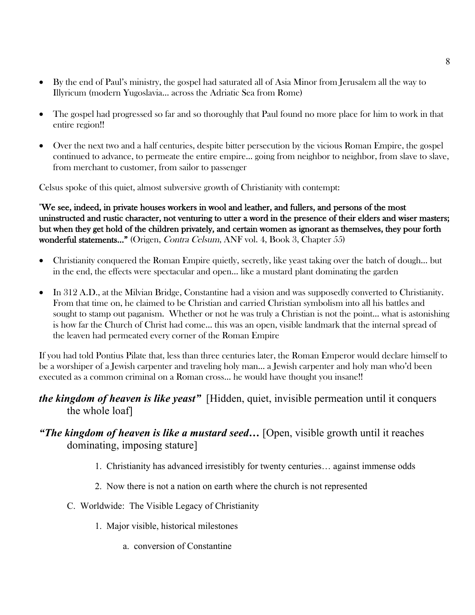- By the end of Paul's ministry, the gospel had saturated all of Asia Minor from Jerusalem all the way to Illyricum (modern Yugoslavia… across the Adriatic Sea from Rome)
- The gospel had progressed so far and so thoroughly that Paul found no more place for him to work in that entire region!!
- Over the next two and a half centuries, despite bitter persecution by the vicious Roman Empire, the gospel continued to advance, to permeate the entire empire… going from neighbor to neighbor, from slave to slave, from merchant to customer, from sailor to passenger

Celsus spoke of this quiet, almost subversive growth of Christianity with contempt:

"We see, indeed, in private houses workers in wool and leather, and fullers, and persons of the most uninstructed and rustic character, not venturing to utter a word in the presence of their elders and wiser masters; but when they get hold of the children privately, and certain women as ignorant as themselves, they pour forth wonderful statements…" (Origen, Contra Celsum, ANF vol. 4, Book 3, Chapter 55)

- Christianity conquered the Roman Empire quietly, secretly, like yeast taking over the batch of dough... but in the end, the effects were spectacular and open… like a mustard plant dominating the garden
- In 312 A.D., at the Milvian Bridge, Constantine had a vision and was supposedly converted to Christianity. From that time on, he claimed to be Christian and carried Christian symbolism into all his battles and sought to stamp out paganism. Whether or not he was truly a Christian is not the point... what is astonishing is how far the Church of Christ had come… this was an open, visible landmark that the internal spread of the leaven had permeated every corner of the Roman Empire

If you had told Pontius Pilate that, less than three centuries later, the Roman Emperor would declare himself to be a worshiper of a Jewish carpenter and traveling holy man… a Jewish carpenter and holy man who'd been executed as a common criminal on a Roman cross… he would have thought you insane!!

*the kingdom of heaven is like yeast"* [Hidden, quiet, invisible permeation until it conquers the whole loaf]

# *"The kingdom of heaven is like a mustard seed…* [Open, visible growth until it reaches dominating, imposing stature]

- 1. Christianity has advanced irresistibly for twenty centuries… against immense odds
- 2. Now there is not a nation on earth where the church is not represented
- C. Worldwide: The Visible Legacy of Christianity
	- 1. Major visible, historical milestones
		- a. conversion of Constantine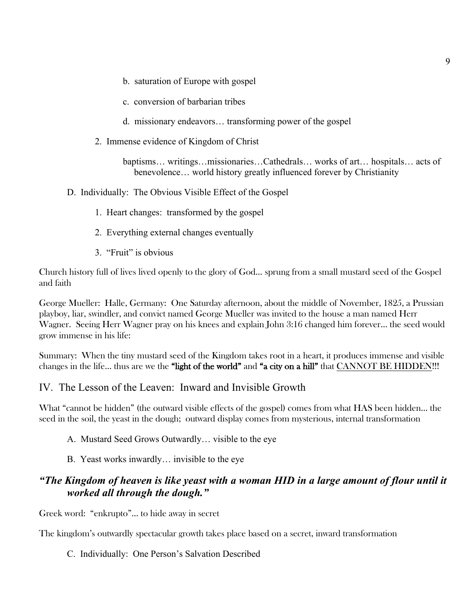- b. saturation of Europe with gospel
- c. conversion of barbarian tribes
- d. missionary endeavors… transforming power of the gospel
- 2. Immense evidence of Kingdom of Christ

baptisms… writings…missionaries…Cathedrals… works of art… hospitals… acts of benevolence… world history greatly influenced forever by Christianity

- D. Individually: The Obvious Visible Effect of the Gospel
	- 1. Heart changes: transformed by the gospel
	- 2. Everything external changes eventually
	- 3. "Fruit" is obvious

Church history full of lives lived openly to the glory of God… sprung from a small mustard seed of the Gospel and faith

George Mueller: Halle, Germany: One Saturday afternoon, about the middle of November, 1825, a Prussian playboy, liar, swindler, and convict named George Mueller was invited to the house a man named Herr Wagner. Seeing Herr Wagner pray on his knees and explain John 3:16 changed him forever… the seed would grow immense in his life:

Summary: When the tiny mustard seed of the Kingdom takes root in a heart, it produces immense and visible changes in the life... thus are we the "light of the world" and "a city on a hill" that CANNOT BE HIDDEN!!!

#### IV. The Lesson of the Leaven: Inward and Invisible Growth

What "cannot be hidden" (the outward visible effects of the gospel) comes from what HAS been hidden… the seed in the soil, the yeast in the dough; outward display comes from mysterious, internal transformation

- A. Mustard Seed Grows Outwardly… visible to the eye
- B. Yeast works inwardly… invisible to the eye

#### *"The Kingdom of heaven is like yeast with a woman HID in a large amount of flour until it worked all through the dough."*

Greek word: "enkrupto"… to hide away in secret

The kingdom's outwardly spectacular growth takes place based on a secret, inward transformation

#### C. Individually: One Person's Salvation Described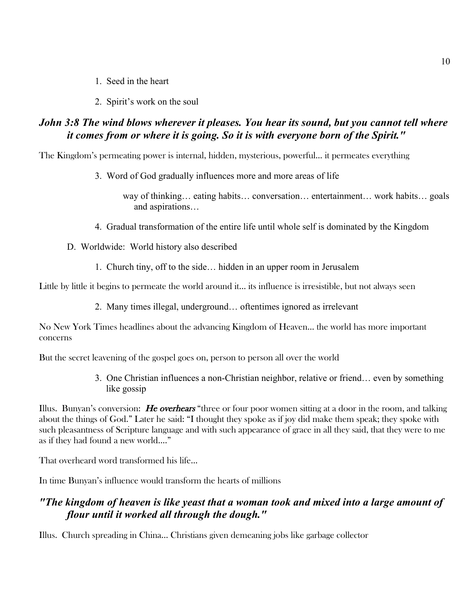- 1. Seed in the heart
- 2. Spirit's work on the soul

# *John 3:8 The wind blows wherever it pleases. You hear its sound, but you cannot tell where it comes from or where it is going. So it is with everyone born of the Spirit."*

The Kingdom's permeating power is internal, hidden, mysterious, powerful… it permeates everything

3. Word of God gradually influences more and more areas of life

way of thinking… eating habits… conversation… entertainment… work habits… goals and aspirations…

- 4. Gradual transformation of the entire life until whole self is dominated by the Kingdom
- D. Worldwide: World history also described
	- 1. Church tiny, off to the side… hidden in an upper room in Jerusalem

Little by little it begins to permeate the world around it… its influence is irresistible, but not always seen

2. Many times illegal, underground… oftentimes ignored as irrelevant

No New York Times headlines about the advancing Kingdom of Heaven… the world has more important concerns

But the secret leavening of the gospel goes on, person to person all over the world

3. One Christian influences a non-Christian neighbor, relative or friend… even by something like gossip

Illus. Bunyan's conversion: He overhears "three or four poor women sitting at a door in the room, and talking about the things of God." Later he said: "I thought they spoke as if joy did make them speak; they spoke with such pleasantness of Scripture language and with such appearance of grace in all they said, that they were to me as if they had found a new world…."

That overheard word transformed his life…

In time Bunyan's influence would transform the hearts of millions

# *"The kingdom of heaven is like yeast that a woman took and mixed into a large amount of flour until it worked all through the dough."*

Illus. Church spreading in China… Christians given demeaning jobs like garbage collector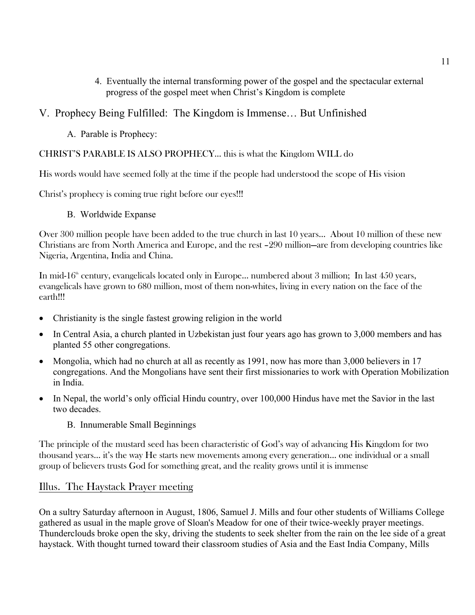4. Eventually the internal transforming power of the gospel and the spectacular external progress of the gospel meet when Christ's Kingdom is complete

### V. Prophecy Being Fulfilled: The Kingdom is Immense… But Unfinished

A. Parable is Prophecy:

#### CHRIST'S PARABLE IS ALSO PROPHECY… this is what the Kingdom WILL do

His words would have seemed folly at the time if the people had understood the scope of His vision

Christ's prophecy is coming true right before our eyes!!!

B. Worldwide Expanse

Over 300 million people have been added to the true church in last 10 years… About 10 million of these new Christians are from North America and Europe, and the rest –290 million—are from developing countries like Nigeria, Argentina, India and China.

In mid-16<sup>th</sup> century, evangelicals located only in Europe... numbered about 3 million; In last 450 years, evangelicals have grown to 680 million, most of them non-whites, living in every nation on the face of the earth!!!

- Christianity is the single fastest growing religion in the world
- In Central Asia, a church planted in Uzbekistan just four years ago has grown to 3,000 members and has planted 55 other congregations.
- Mongolia, which had no church at all as recently as 1991, now has more than 3,000 believers in 17 congregations. And the Mongolians have sent their first missionaries to work with Operation Mobilization in India.
- In Nepal, the world's only official Hindu country, over 100,000 Hindus have met the Savior in the last two decades.
	- B. Innumerable Small Beginnings

The principle of the mustard seed has been characteristic of God's way of advancing His Kingdom for two thousand years… it's the way He starts new movements among every generation… one individual or a small group of believers trusts God for something great, and the reality grows until it is immense

### Illus. The Haystack Prayer meeting

On a sultry Saturday afternoon in August, 1806, Samuel J. Mills and four other students of Williams College gathered as usual in the maple grove of Sloan's Meadow for one of their twice-weekly prayer meetings. Thunderclouds broke open the sky, driving the students to seek shelter from the rain on the lee side of a great haystack. With thought turned toward their classroom studies of Asia and the East India Company, Mills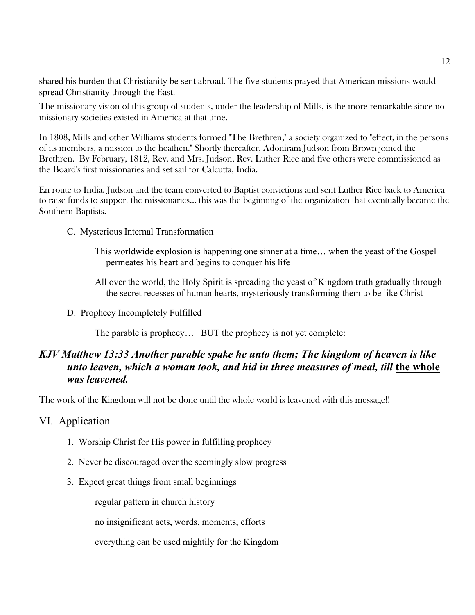shared his burden that Christianity be sent abroad. The five students prayed that American missions would spread Christianity through the East.

The missionary vision of this group of students, under the leadership of Mills, is the more remarkable since no missionary societies existed in America at that time.

In 1808, Mills and other Williams students formed "The Brethren," a society organized to "effect, in the persons of its members, a mission to the heathen." Shortly thereafter, Adoniram Judson from Brown joined the Brethren. By February, 1812, Rev. and Mrs. Judson, Rev. Luther Rice and five others were commissioned as the Board's first missionaries and set sail for Calcutta, India.

En route to India, Judson and the team converted to Baptist convictions and sent Luther Rice back to America to raise funds to support the missionaries… this was the beginning of the organization that eventually became the Southern Baptists.

- C. Mysterious Internal Transformation
	- This worldwide explosion is happening one sinner at a time… when the yeast of the Gospel permeates his heart and begins to conquer his life
	- All over the world, the Holy Spirit is spreading the yeast of Kingdom truth gradually through the secret recesses of human hearts, mysteriously transforming them to be like Christ
- D. Prophecy Incompletely Fulfilled

The parable is prophecy… BUT the prophecy is not yet complete:

# *KJV Matthew 13:33 Another parable spake he unto them; The kingdom of heaven is like unto leaven, which a woman took, and hid in three measures of meal, till the whole was leavened.*

The work of the Kingdom will not be done until the whole world is leavened with this message!!

- VI. Application
	- 1. Worship Christ for His power in fulfilling prophecy
	- 2. Never be discouraged over the seemingly slow progress
	- 3. Expect great things from small beginnings

regular pattern in church history

no insignificant acts, words, moments, efforts

everything can be used mightily for the Kingdom